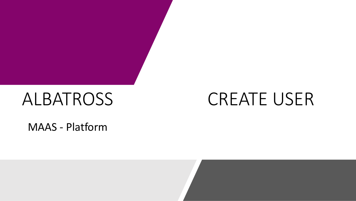# ALBATROSS

# CREATE USER

MAAS - Platform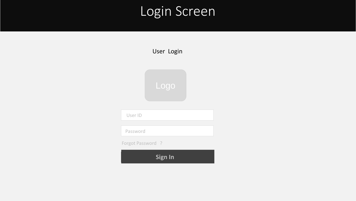## Login Screen

| User Login        |
|-------------------|
|                   |
|                   |
| Logo              |
|                   |
| User ID           |
|                   |
| Password          |
| Forgot Password ? |

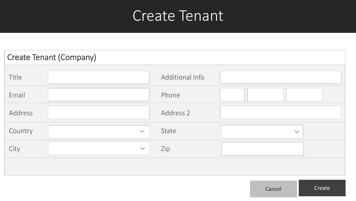## Create Tenant

| <b>Create Tenant (Company)</b> |              |                 |              |  |  |  |
|--------------------------------|--------------|-----------------|--------------|--|--|--|
| Title                          |              | Additional Info |              |  |  |  |
| Email                          |              | Phone           |              |  |  |  |
| Address                        |              | Address 2       |              |  |  |  |
| Country                        | $\checkmark$ | State           | $\checkmark$ |  |  |  |
| City                           | $\checkmark$ | Zip             |              |  |  |  |
|                                |              |                 |              |  |  |  |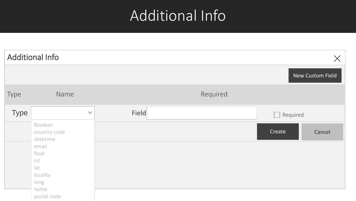# Additional Info

|             | <b>Additional Info</b>                                                                          |       |          |                | $\times$         |
|-------------|-------------------------------------------------------------------------------------------------|-------|----------|----------------|------------------|
|             |                                                                                                 |       |          |                | New Custom Field |
| Type        | Name                                                                                            |       | Required |                |                  |
| <b>Type</b> | $\checkmark$                                                                                    | Field |          | Required<br>k. |                  |
|             | Boolean<br>country code<br>datetime<br>email<br>float<br>int<br>lat<br>locality<br>long<br>name |       |          | Create         | Cancel           |
|             | postal code                                                                                     |       |          |                |                  |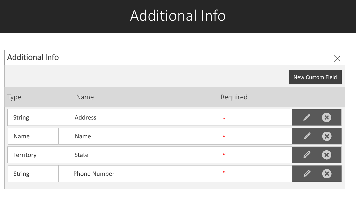# Additional Info

| <b>Additional Info</b> |                     |          | $\times$                   |
|------------------------|---------------------|----------|----------------------------|
|                        |                     |          | New Custom Field           |
| Type                   | Name                | Required |                            |
| <b>String</b>          | Address             | $\ast$   | $\left( \mathbf{x}\right)$ |
| Name                   | Name                | $\ast$   | $\left( \mathbf{x}\right)$ |
| Territory              | State               | $\ast$   | $\left( \mathbf{x}\right)$ |
| <b>String</b>          | <b>Phone Number</b> | $\ast$   | $\left( \mathbf{x}\right)$ |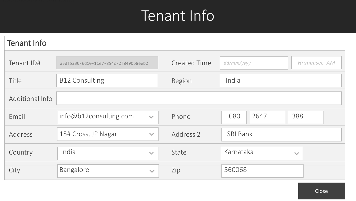# Tenant Info

| <b>Tenant Info</b> |                                        |                     |                             |  |  |  |  |
|--------------------|----------------------------------------|---------------------|-----------------------------|--|--|--|--|
| Tenant ID#         | a5df5230-6d10-11e7-854c-2f8490b8eeb2   | <b>Created Time</b> | Hr:min:sec-AM<br>dd/mm/yyyy |  |  |  |  |
| Title              | <b>B12 Consulting</b>                  | Region              | India                       |  |  |  |  |
| Additional Info    |                                        |                     |                             |  |  |  |  |
| Email              | info@b12consulting.com<br>$\checkmark$ | Phone               | 2647<br>388<br>080          |  |  |  |  |
| Address            | 15# Cross, JP Nagar<br>$\checkmark$    | Address 2           | <b>SBI Bank</b>             |  |  |  |  |
| Country            | India<br>$\checkmark$                  | State               | Karnataka<br>$\checkmark$   |  |  |  |  |
| City               | Bangalore<br>$\checkmark$              | Zip                 | 560068                      |  |  |  |  |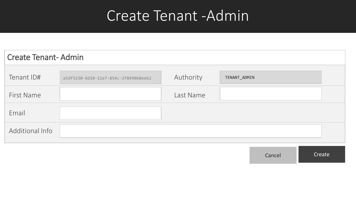## Create Tenant -Admin

| <b>Create Tenant-Admin</b> |                                      |           |              |  |  |  |
|----------------------------|--------------------------------------|-----------|--------------|--|--|--|
| Tenant ID#                 | a5df5230-6d10-11e7-854c-2f8490b8eeb2 | Authority | TENANT_ADMIN |  |  |  |
| First Name                 |                                      | Last Name |              |  |  |  |
| Email                      |                                      |           |              |  |  |  |
| Additional Info            |                                      |           |              |  |  |  |

Cancel Create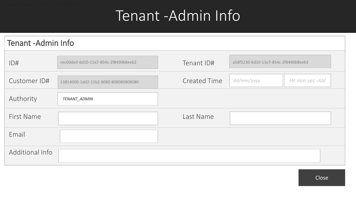# Tenant -Admin Info

#### Tenant -Admin Info

| ID#               | cec0dde0-6d10-11e7-854c-2f8490b8eeb2 | Tenant ID#          | a5df5230-6d10-11e7-854c-2f8490b8eeb2 |               |
|-------------------|--------------------------------------|---------------------|--------------------------------------|---------------|
| Customer ID#      | 13814000-1dd2-11b2-8080-808080808080 | <b>Created Time</b> | dd/mm/yyyy                           | Hr:min:sec-AM |
| Authority         | TENANT_ADMIN                         |                     |                                      |               |
| <b>First Name</b> |                                      | Last Name           |                                      |               |
| Email             |                                      |                     |                                      |               |
| Additional Info   |                                      |                     |                                      |               |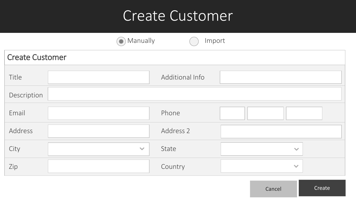## Create Customer

|                        | Manually     | Import          |              |
|------------------------|--------------|-----------------|--------------|
| <b>Create Customer</b> |              |                 |              |
| Title                  |              | Additional Info |              |
| Description            |              |                 |              |
| Email                  |              | Phone           |              |
| Address                |              | Address 2       |              |
| City                   | $\checkmark$ | State           | $\checkmark$ |
| Zip                    |              | Country         | $\checkmark$ |

Cancel **Create**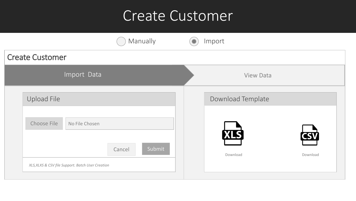### Create Customer

|                                                   | Manually         | Import            |          |
|---------------------------------------------------|------------------|-------------------|----------|
| <b>Create Customer</b>                            |                  |                   |          |
| Import Data                                       |                  | <b>View Data</b>  |          |
| Upload File                                       |                  | Download Template |          |
| Choose File<br>No File Chosen                     |                  | <b>XLS</b>        |          |
| XLS, XLXS & CSV file Support. Batch User Creation | Submit<br>Cancel | Download          | Download |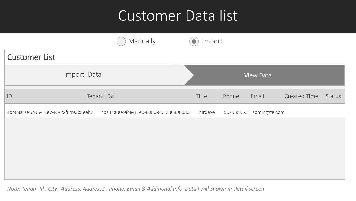# Customer Data list

|                                     | Manually                             | Import   |           |                  |                     |        |
|-------------------------------------|--------------------------------------|----------|-----------|------------------|---------------------|--------|
| <b>Customer List</b>                |                                      |          |           |                  |                     |        |
|                                     | Import Data                          |          |           | <b>View Data</b> |                     |        |
| ID                                  | Tenant ID#.                          | Title    | Phone     | Email            | <b>Created Time</b> | Status |
| 4bb68a10-6b96-11e7-854c-f8490b8eeb2 | cba44a80-9fce-11e6-8080-808080808080 | Thirdeye | 567938963 | admin@te.com     |                     |        |
|                                     |                                      |          |           |                  |                     |        |
|                                     |                                      |          |           |                  |                     |        |
|                                     |                                      |          |           |                  |                     |        |
|                                     |                                      |          |           |                  |                     |        |